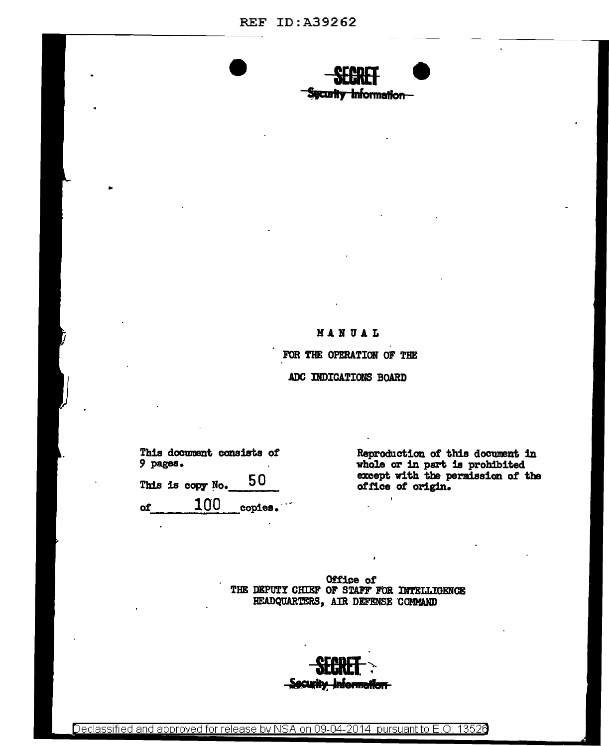

#### MANUAL

#### FOR THE OPERATION OF THE

#### ADC INDICATIONS BOARD

This document consists of 9 pages.

50 This is copy No.

100 copies. of

Reproduction of this document in whole or in part is prohibited<br>except with the permission of the office of origin.

Office of THE DEPUTY CHIEF OF STAFF FOR INTELLIGENCE HEADQUARTERS, AIR DEFENSE COMMAND

 $\overline{1}$ 

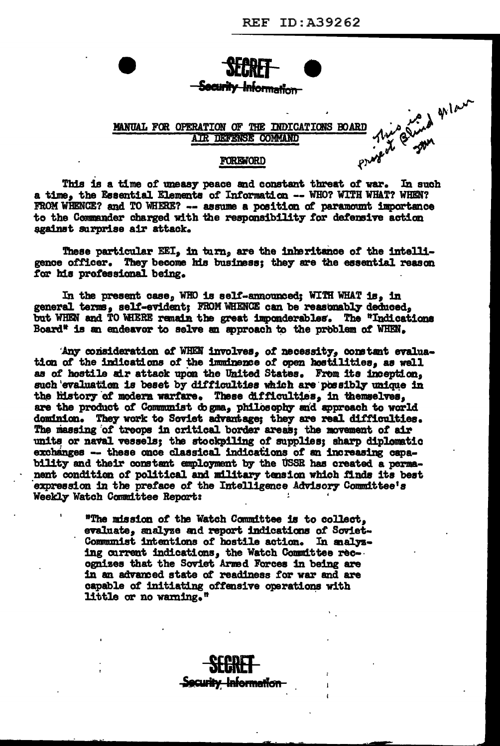red Wlan

Security Information

### MANUAL FOR OPERATION OF THE INDICATIONS BOARD Probat @ AIR DEFENSE COMMAND

#### FOREWORD

This is a time of uneasy peace and constant threat of war. In such a time, the Essential Elements of Information -- WHO? WITH WHAT? WHEN? FROM WHENCE? and TO WHERE? -- assume a position of paramount importance to the Commander charged with the responsibility for defensive action against surprise air attack.

These particular EEI, in turn, are the inheritance of the intelligence officer. They become his business; they are the essential reason for his prefessional being.

In the present case, WHO is self-announced: WITH WHAT is, in general terms, self-evident; FROM WHENCE can be reasonably deduced, but WHEN and TO WHERE remain the great imponderables. The "Indications Board\* is an endeaver to selve an approach to the problem of WHEN.

Any consideration of WHEN involves, of necessity, constant evaluation of the indications of the imminence of open hostilities, as well as of hostile air attack upon the United States. From its inception, such evaluation is beset by difficulties which are possibly unique in the history of medera warfare. These difficulties, in themselves, are the product of Communist dogma, philosophy and approach to world dominion. They work to Seviet advantage; they are real difficulties. The massing of troops in critical border areas; the movement of air units or naval vessels; the stockpiling of supplies; sharp diplomatic exchanges -- these once classical indications of an increasing capability and their constant employment by the USSR has created a permanent condition of political and military tension which finds its best expression in the preface of the Intelligence Advisory Committee's Weekly Watch Committee Report:

> "The mission of the Watch Committee is to collect, evaluate, analyze and report indications of Soviet-Communist intentions of hostile action. In analyzing current indications, the Watch Committee recognizes that the Soviet Armed Forces in being are in an advanced state of readiness for war and are capable of initiating offensive operations with little or no warning."

> > **Security Information**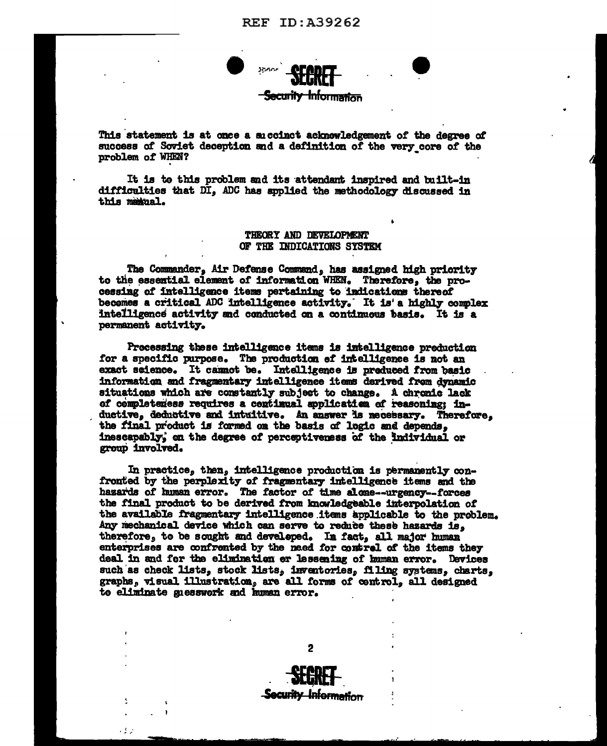

This statement is at once a succinct acknowledgement of the degree of success of Soviet deception and a definition of the very core of the problem of WHEN?

It is to this problem and its attendant inspired and built-in difficulties that DI. ADC has applied the methodology discussed in this manual.

#### THEORY AND DEVELOPMENT OF THE INDICATIONS SYSTEM

The Commander, Air Defense Command, has assigned high priority to the essential element of information WHEN. Therefore, the processing of intelligence items pertaining to indications thereof becomes a critical ADC intelligence activity. It is a highly complex intelligence activity and conducted on a continuous basis. It is a permanent activity.

Processing these intelligence items is intelligence preduction for a specific purpose. The production of intelligence is not an exact science. It cannot be. Intelligence is preduced from basic information and fragmentary intelligence items derived from dynamic situations which are constantly subject to change. A chronic lack of completeress requires a continual application of reasoning; inductive, deductive and intuitive. An answer is necessary. Therefore. the final product is formed on the basis of logic and depends, inescapably, on the degree of perceptiveness of the individual or group involved.

In practice, then, intelligence production is permanently confronted by the perplexity of fragmentary intelligence items and the hazards of human error. The factor of time alone--urgency--forces the final product to be derived from knowledgeable interpolation of the available fragmentary intelligence items applicable to the problem. Any mechanical device which can serve to reduce these hazards is. therefore, to be sought and developed. In fact, all major human enterprises are confronted by the need for control of the items they deal in and for the elimination or lessening of human error. Devices such as check lists, stock lists, inventories, filing systems, charts. graphs, visual illustration, are all forms of centrol, all designed to eliminate guesswork and human error.

Security Information

- 17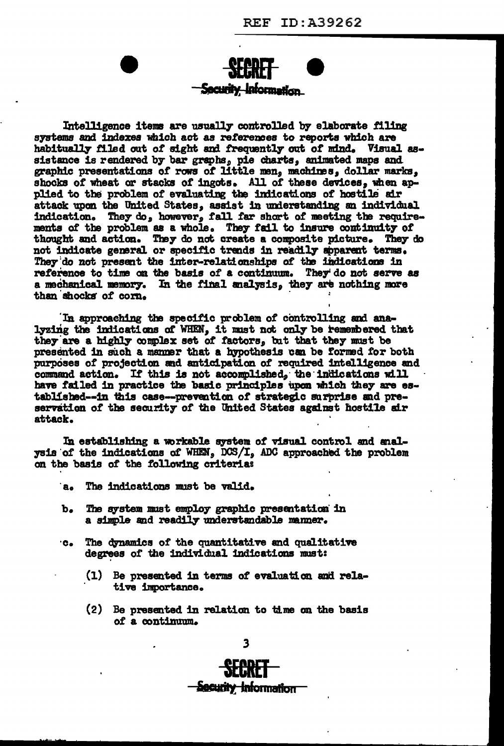# **Security Information**

Intelligence items are usually controlled by elaborate filing systems and indexes which act as references to reports which are habitually filed out of sight and frequently out of mind. Visual assistance is rendered by bar graphs, pie charts, animated maps and graphic presentations of rows of little men, machines, dollar marks. shocks of wheat or stacks of ingots. All of these devices, when applied to the problem of evaluating the indications of hostile air attack upon the United States, assist in understanding an individual indication. They do, however, fall far short of meeting the requirements of the problem as a whole. They fail to insure continuity of thought and action. They do not create a composite picture. They do not indicate general or specific trends in readily apparent terms. They'do not present the inter-relationships of the indications in reference to time on the basis of a continuum. They do not serve as a mechanical memory. In the final analysis, they are nothing more than shocks of corn.

In approaching the specific problem of controlling and analyzing the indications of WHEN, it must not only be remembered that they are a highly complex set of factors, but that they must be presented in such a manner that a hypothesis can be formed for both purposes of projection and anticipation of required intelligence and command action. If this is not accomplished, the indications will have failed in practice the basic principles upon which they are established--in this case--prevention of strategic surprise and preservation of the security of the United States against hostile air attack.

In establishing a workable system of visual control and analysis of the indications of WHEN, DCS/I, ADC approached the problem on the basis of the following criterias

- $^{\circ}$ a. The indications must be valid.
- b. The system must employ graphic presentation in a simple and readily understandable manner.
- The dynamics of the quantitative and qualitative  $^{\circ}$  C  $_{\circ}$ degrees of the individual indications must:
	- (1) Be presented in terms of evaluation and relative importance.
	- (2) Be presented in relation to time on the basis of a continuum.

3 **Security Information**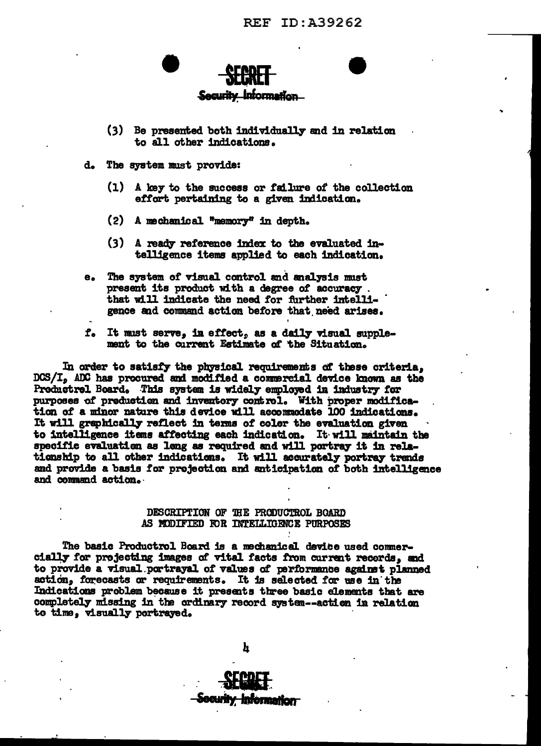**REF ID: A39262** 



- (3) Be presented both individually and in relation to all other indications.
- d. The system must provide:
	- (1) A key to the success or failure of the collection effort pertaining to a given indication.
	- (2) A mechanical "memory" in depth.
	- (3) A ready reference index to the evaluated intelligence items applied to each indication.
- The system of visual control and analysis must  $e_{\bullet}$ present its product with a degree of accuracy. that will indicate the need for further intelligence and command action before that need arises.
- f. It must serve, in effect, as a daily visual supplement to the current Estimate of the Situation.

In order to satisfy the physical requirements of these criteria, DCS/I, ADC has procured and modified a commercial device known as the Productrol Board. This system is widely employed in industry for purposes of preduction and inventory control. With proper modification of a minor nature this device will accommodate 100 indications. It will graphically reflect in terms of coler the evaluation given to intelligence items affecting each indication. It will maintain the specific evaluation as long as required and will portray it in relationship to all other indications. It will accurately portray trends and provide a basis for projection and anticipation of both intelligence and command action.

#### DESCRIPTION OF THE PRODUCTROL BOARD AS MODIFIED FOR INTELLIGENCE PURPOSES

The basic Productrol Board is a mechanical device used commercially for projecting images of vital facts from current records, and to provide a visual portrayal of values of performance against planned action, forecasts or requirements. It is selected for use in the Indications problem because it presents three basic elements that are completely missing in the ordinary record system--action in relation to time, visually portrayed.

unily information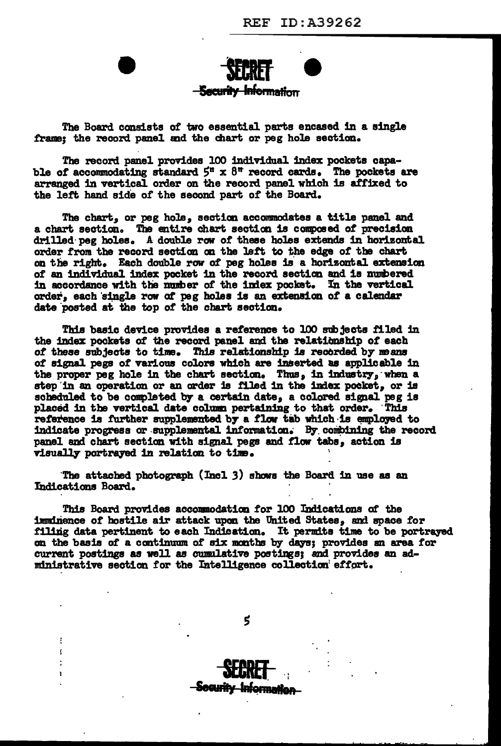SECRET O **Security Information** 

The Board consists of two essential parts encased in a single frame: the record panel and the chart or peg hole section.

The record panel provides 100 individual index pockets capable of accommodating standard  $5<sup>n</sup> \times 8<sup>n</sup>$  record cards. The pockets are arranged in vertical order on the record panel which is affixed to the left hand aide of the second part of the Board.

The chart, or peg hole, section accommodates a title panel and a chart section. The entire chart section is composed of precision drillsd·peg holes. A double row of these holes extends in horizontal order from the record aecticm. cm the left to the edge *ot* the chart on the right. Each double row of peg holes is a horizontal extension of an individual index pecket in the record section and is numbered in accordance with the mumber of the index pocket. In the vertical order, each single row of peg holes is an extension of a calendar date posted at the top of the chart section.

This basic device provides a reference to 100 subjects filed in the index pockets of the record panel and the relationship of each of these subjects to time. This relationship is recorded by means of signal pegs of various colors which are inserted as applicable in the proper peg hole in the chart section. Thus, in industry, when a step in an operation or an order is filed in the index pocket, or is scheduled to be completed by a certain date, a colored signal peg is placed in the vertical date column pertaining to that order. This reference is further supplemented by a flow tab which is employed to indicate progress or supplemental information. By combining the record panel and chart section with signal pegs and flow tabs, action is visually portrayed in relation to time.

The attached photograph (Incl 3) shows the Board in use as an Indications Board. ·

This Board provides accommodation for 100 Indications of the imminence of hostile air attack upon the United States, and space for filing data pertinent to each Indication. It permits time to be portrayed on the basis of a continuum of six months by days; provides an area for current postings as well as cumulative postings; and provides an administrative section for the Intelligence collection effort.

5

ĵ.

BIB ·~ Seuily ...... ft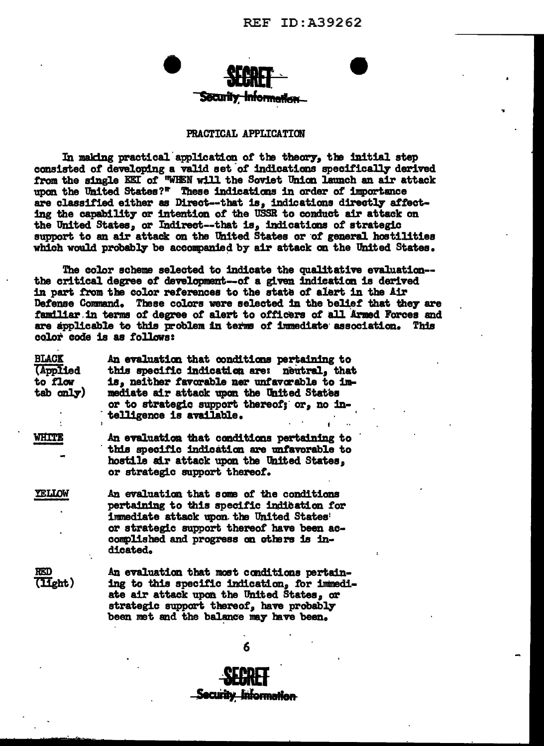

#### PRACTICAL APPLICATION

In making practical application of the theory, the initial step consisted of developing a valid set of indications specifically derived from the single EEI of "WHEN will the Soviet Union launch an air attack upon the United States?" These indications in order of importance are classified either as Direct--that is, indications directly affecting the capability or intention of the USSR to conduct air attack on the United States, or Indirect--that is, indications of strategic support to an air attack on the United States or of general hostilities which would probably be accompanied by air attack on the United States.

The color scheme selected to indicate the qualitative evaluation-the critical degree of development--of a given indication is derived in part from the color references to the state of alert in the Air Defense Command. These colors were selected in the belief that they are familiar in terms of degree of alert to officers of all Armed Forces and are applicable to this problem in terms of immediate association. This color code is as follows:

| <b>BLACK</b><br><i><b>(Applied)</b></i><br>to flow<br>tab only) | An evaluation that conditions pertaining to<br>this specific indication are: neutral, that<br>is, neither favorable ner unfavorable to im-<br>mediate air attack upon the United States<br>or to strategic support thereof; or, no in-<br>telligence is available. |
|-----------------------------------------------------------------|--------------------------------------------------------------------------------------------------------------------------------------------------------------------------------------------------------------------------------------------------------------------|
| <b>WHITE</b>                                                    | An evaluation that conditions pertaining to<br>this specific indication are unfavorable to<br>hostile air attack upon the United States,<br>or strategic support thereof.                                                                                          |
| <b>YELLOW</b>                                                   | An evaluation that some of the conditions<br>pertaining to this specific indication for<br>immediate attack upon the United States:<br>or strategic support thereof have been ac-<br>complished and progress on others is in-<br>dicated.                          |
| RED<br>(Heht)                                                   | An evaluation that most conditions pertain-<br>ing to this specific indication, for immedi-                                                                                                                                                                        |

ing to this specific indication, for immediate air attack upon the United States, or strategic support thereof, have probably been met and the balance may have been.

# **Security Information**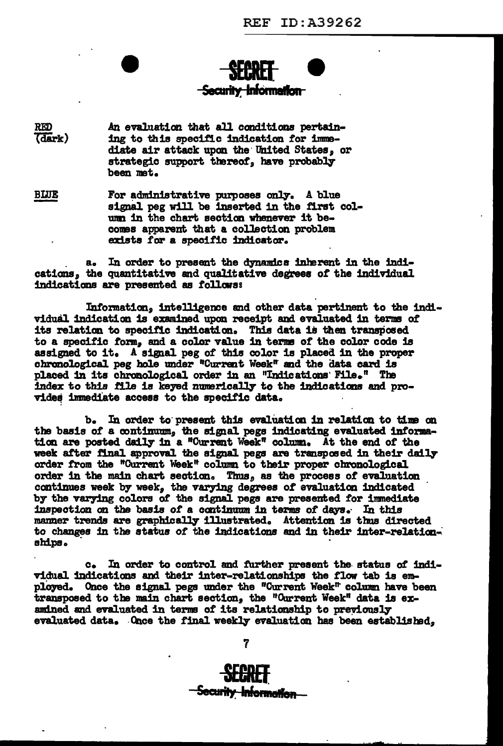## SECRET O **Security Information**

RED (dark) An evaluation that all conditions pertaining to this specific indication for immediate air attack upon the United States, or strategic support thereof, have probably been met.

BIDE For administrative purposes only. A blue signal peg will be inserted in the first colum in the chart section whenever it becomes apparent that a collection problem exists for a specific indicator.

a. In order to present the dynamics inherent in the indications, the quantitative and qualitative degrees of the individual indicaticms are presented as follows:

Information, intelligence and other data pertinent to the individual indication is examined upon receipt and evaluated in terms of its relation to specillc indicaticm. This data 18 then transpoeed to a specific form, and a color value in terms of the color code is assigned to it. A signal peg of' this color is placed in the proper chronological peg hole under "Current Week" and the data card is placed in its chronological order in an "Indications' File." The index to this file is keyed numerically to the indications and provides immediate access to the specific data.

b. In order to present this evaluation in relation to time on the basis of a continuum, the signal pegs indicating evaluated information are posted daily in a "Current Week" column. At the end of the week after final approval the signal pegs are transposed in their daily order from the "Current Week" column to their proper chronological order in the main chart section. Thus, as the process of evaluation continues week by week, the varying degrees of evaluation indicated by the varying colors of the signal pegs are presented for immediate inspection on the basis of a continuum in terms of days. In this manner trends are graphically illustrated. Attention is thus directed to changes in the status of the indications and in their inter-relation-<br>ships.

c. In order to control and further present the status of individual indications and their inter-relationships the flow tab is employed. Once the signal pegs under the "Current Week" column have been transposed to the main chart section, the "Current Week" data is examined and evaluated in terms of its relationship to previously evaluated data. Once the final weekly evaluation has been established,



7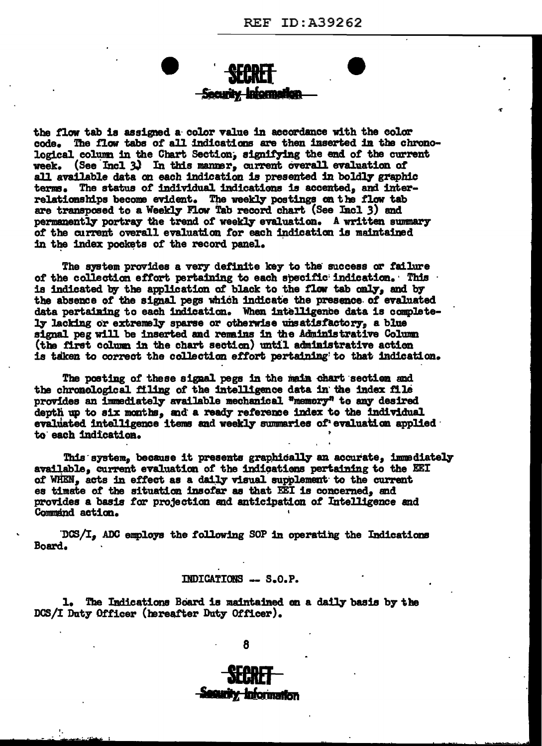## **SECRET DLUNLI**<br>Security information

the flow tab is assigned a color value in accordance with the color code. The flow tabs of all indications are then inserted in the chronological column in the Chart Section, signifying the end of the current week. (See Incl  $3$ ) In this manner, current overall evaluation of all available data on each indication is presented in boldly graphic terms. The status of individual indications is accented, and interrelationships become evident. The weekly postings on the flow tab are transposed to a Weekly Flow Tab record chart (See Incl 3) and permanently portray the trend of weekly evaluation. A written summary of the current overall evaluation tor each indicatian ia maintained in the index pockets of the record panel.

The system provides a very definite key to the success or failure of the collection effort pertaining to each specific indication. This is indicated by the application of black to the flow tab only, and by the absence of the signal pegs which indicate the presence. of evaluated data pertaining to each indication. When intelligence data is completely lacking or extremely sparse or otherwise unsatisfactory, a blue signal peg will be inserted and remains in the Administrative Column (the first column in the chart section) until administrative action is taken to correct the collection effort pertaining to that indication.

The posting of these signal pegs in the main chart section and the chronological filing of the intelligence data in the index file provides an immediately available mechanical \*memory\* te any desired depth up to six months, and a ready reference index to the individual evaluated intelligence items and weekly summaries of evaluation applied to each indication. to each indication.<br>This system, because it presents graphically an accurate, immediately

available, current evaluation of the indications pertaining to the EEI of WHEN, acts in effect as a daily visual supplement to the current es timate of the situation insofar as that EEI is concerned, and provides a basis far projection and anticipation of Intelligence and Command action.

 $DCS/I<sub>s</sub>$  ADC employs the following SOP in operating the Indications Board.

INDICATIONS -- s.o.P.

1. The Indications Board is maintained on a daily basis by the DCS/I Duty Officer (hereafter Duty Officer).

8

### **SECKET S18<sup>3</sup>y laformation**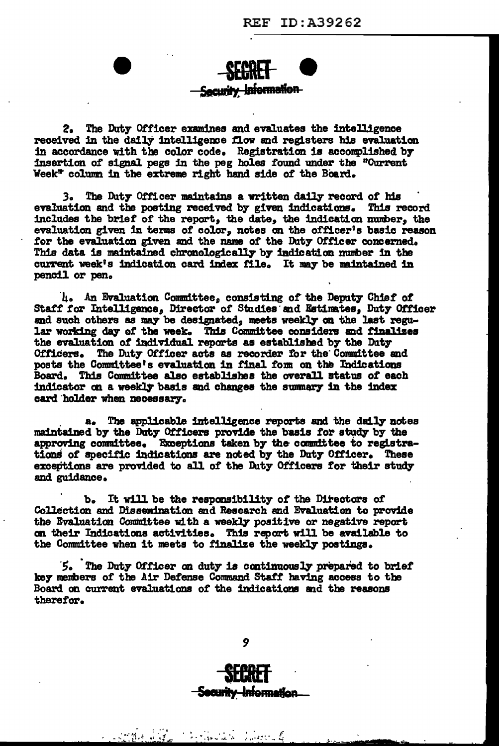SECRET · Jatormation

2. The Duty Officer examines and evaluates the intelligence received in the daily intelligence flow and registers his evaluation in accordance with the color code. Registration is accomplished by insertion of signal pegs in the peg holes found under the  $"Current$ Week" column in the extreme right hand side of the Board.

3. The Duty Officer maintatas a written dailY" record *ot* h1s evaluation and the posting received by given indications. This record includes the brief of the report, the date, the indication number, the evaluation given in terms of color, notes on the officer's basic reason tor the evaluation given and the name or the Daty Officer concerned. This data is maintained chronologically by indication number in the current week's indication card index file. It may be maintained in pencil or pen.

4. An Evaluation Committee, consisting of the Deputy Chief of Staff for Intelligence, Director of Studies and Estimates, Duty Officer and such others as may be designated, meets weekly on the last regular working day of the week. This Committee considers and finalizes the evaluation of individual reports as established by the Duty Officers. The Duty Officer acts as recorder for the Committee and posts the Committee's evaluation in final form on the Indications Board. This Committee also establishes the overall status of each indicator on a weekly basis and changes the summary in the index card holder when necessary.

a. The applicable intelligence reports and the daily notes maintained by the Duty Officers provide the basis for study by the approving committee. Exceptions taken by the committee to registrations of specific indications are noted by the Duty Officer. These exceptions are provided to all of the Duty Officers for their study and guidance.

b. It will be the responsibility of the Directors of Collection and Dissemination and Research and Evaluation to provide the Evaluation Committee with a weekly positive or negative report cm their Indications activities. This report will be available to the Committee when it meets to finalize the weekly postings.

5. The Duty Officer on duty is continuously prepared to brief key members of the Air Defense Command Staff having access to the Board on current evaluations of the indications and the reasons therefor.

~ .-:-~~-:~~~ .~-,'!~ . :: .. ~~»~·~·.~ .:,.:.i~·.·\_[ J. .......

......

9

SECRET **scurity-Intermation**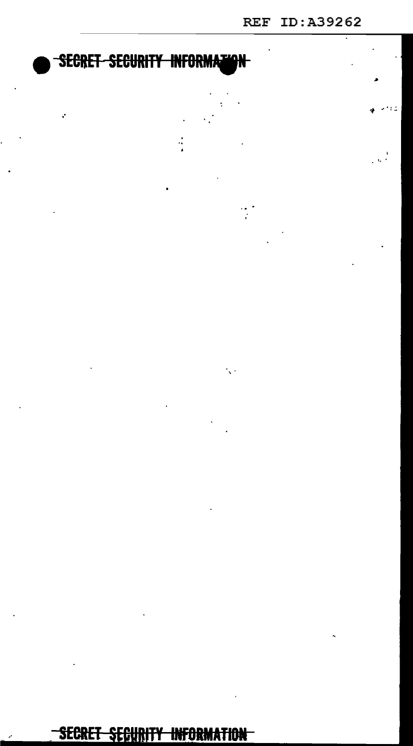$\sim 10$ 

 $\frac{1}{\sqrt{2}}$ 

## SECRET SECURITY INFORMATION

à.

 $\ddot{\cdot}$ 

 $\frac{1}{2}$ 

۰.,

 $\ddot{\cdot}$ 

**SECRET SECURITY INFORMATION**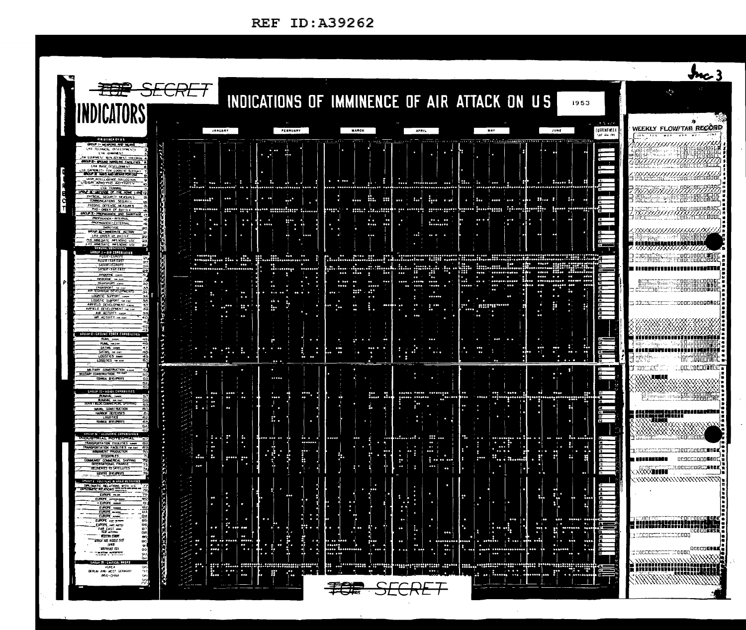**REF ID:A39262** 

|                                                                                                                                                                                                      | INDICATIONS OF IMMINENCE OF AIR ATTACK ON US<br>1953                                                                                                                                                                                                                                                                                                                                                                                                                                                                                                                                                                                                                                                                                    | ベ                                                                                            |
|------------------------------------------------------------------------------------------------------------------------------------------------------------------------------------------------------|-----------------------------------------------------------------------------------------------------------------------------------------------------------------------------------------------------------------------------------------------------------------------------------------------------------------------------------------------------------------------------------------------------------------------------------------------------------------------------------------------------------------------------------------------------------------------------------------------------------------------------------------------------------------------------------------------------------------------------------------|----------------------------------------------------------------------------------------------|
|                                                                                                                                                                                                      | $-1.7 + 1.7$                                                                                                                                                                                                                                                                                                                                                                                                                                                                                                                                                                                                                                                                                                                            | 抟                                                                                            |
| 812 8718CX 04 U.S.<br>GROUP I- WEAPORS AND MEANS                                                                                                                                                     | (URRENTWEE)<br>JANUARY<br>FEBRUARY<br>MARGH<br><b>APRIL</b><br>JUNE<br>MAY<br>Sat sie (8)<br>WELFARE MARKERSHAND                                                                                                                                                                                                                                                                                                                                                                                                                                                                                                                                                                                                                        | WEEKLY FLOW/TAB RECORD<br>$164.$ TIRE MARE AND MAY                                           |
| LHA TECHNICAL DEVELOPMENTS<br>$\overline{z}$<br>LRA ARMANENT<br>EQUINENT REPLACEMENT FRIVANH<br><b>BROUP B- GROUND HARDLING FACE ITES 'B</b><br>LNA BASE DEVELOPMENT                                 | $\bullet$<br>a.                                                                                                                                                                                                                                                                                                                                                                                                                                                                                                                                                                                                                                                                                                                         | WAGGI II II WAANI DURREER                                                                    |
| CAPADILITY FOR LOOSTIC SLAPPURT<br>USSR ARCTIC ACTIVITY<br>$-$<br><b><i><u>andomal</u></i></b><br><b>LRA TRAPPE</b>                                                                                  | Ŧ.<br>$-0.00$<br>$\sim$ 3.<br><b>Sec.</b><br>$\cdot$<br>500000<br>$-200$<br>$-0.6$<br><br>a K<br><br><b>ARRAIGHMENT</b><br>n en<br><br>╓                                                                                                                                                                                                                                                                                                                                                                                                                                                                                                                                                                                                | <u>ומממשמחה המסכים בנוסמי</u>                                                                |
| <b>PAR B-DEFENSE OF THE HOME LAND</b><br>PHYSICAL SECURITY MEASURES<br>www.l<br>COMMUNICATIONS SECURITY<br>PASSIVE DEFENSE MEASURES<br>VO-ORDER OF BATTLE<br>п                                       | $\cdots$<br>¢<br>ക്ക<br>$\mathcal{L}^{\text{max}}$<br>31.<br>3.1<br>$\mathbf{H}$ and $\mathbf{H}$<br>.<br>$1000 - 100$<br>$\ddotsc$<br>- - - -<br>×<br><br>$\cdots$<br><b>Spinal profile</b><br>11100 11100<br>" ::::::!:::<br>i gan annsnyrg<br>-3000<br>an an a<br>                                                                                                                                                                                                                                                                                                                                                                                                                                                                   | apperate a                                                                                   |
| <b>JOUR R-PROPAGANOA AND SAUDTAGE</b><br>FROPAGANOA - INTERNAL<br>π<br><b>FROPAGANDA - EXTERINA</b><br>$\bullet$<br>$\bullet$<br>IJ<br>SANDTAGE<br>$\sim$<br><b>CLP 32 - AMEDIATE ACTO</b>           | $\mathcal{L}$<br><br>00 <sup>4</sup><br>$\bullet$<br>a a<br>$\oplus$<br>$\bullet$<br>÷<br>a.<br>$\bullet$<br>$-0.000$<br>0.100<br><br>$\bullet$<br>$\bullet$<br>¢<br>ø.<br>n a                                                                                                                                                                                                                                                                                                                                                                                                                                                                                                                                                          | <u>ssommunistsi</u><br>U USSECCOR, GRANDOGOGIOE GO<br><b>xxxxxxxxxxxxxxxxx</b>               |
| LRA CROER OF BALLLE<br><b>D AMERIATE APENDING USE</b><br>MAKEDLATE WALNERS USE<br>٢,I<br><b>CLAIRNI HOSTILIILES</b><br>CROUP 1 – 019 COPOBILITIES                                                    | 54<br>$\mathbf{r}$                                                                                                                                                                                                                                                                                                                                                                                                                                                                                                                                                                                                                                                                                                                      | <u> Kriteger Francisco e</u> ggelego<br>فالأقفاذ فينبعه ومحروره بنزارات وزاراة<br>WWW.WWW.WW |
| Lm.<br>или - арион<br>AUAIR - FAR EAST<br>SATAIR-EUROPI<br>SATAIR-FAR EAS<br>AFGORNE new                                                                                                             | <b>PERTHERMAN AND REAL</b><br><b>STEP 16 BM</b><br>$\frac{1}{2}$<br>*********                                                                                                                                                                                                                                                                                                                                                                                                                                                                                                                                                                                                                                                           |                                                                                              |
| ARBORNE ## ##<br>1000<br><b>TRANSPORT</b><br>9964<br><b>TRANSPORT</b><br>TECHNICAL DEVELOPMENT<br>LOCKITIC SUPPORT                                                                                   | Ŀ.<br>å.<br><b>SUSSESSIES SECONS SURP</b><br>500<br><br>$-0.00$<br>$\ddot{\phantom{a}}$<br>$\sim$<br>$-0.05$<br>0.000<br>$, \ldots, \ldots$<br>$\mathbf{r}$<br>$-2 - 1$<br>angan an<br>00000<br>Took Took<br><br>00000<br>ò<br><br><br>0 <sup>o</sup><br>$10000 - 0$<br>$\alpha$<br>$\ddot{\phantom{a}}$<br>o.<br>$\mathbf{m}$<br>$\bullet\bullet$<br>$\cdots$<br>É<br><br>⊣<br>$\bullet\hspace{0.4mm}\bullet\hspace{0.4mm}$<br>$\bullet$ $\bullet$<br>$\sim$<br>$\bullet$ $\bullet$<br><br>н                                                                                                                                                                                                                                           |                                                                                              |
| LOGISTIC SUPPORT NO FAIL<br>18<br>ARFELD DEVELOPMENT<br>я.<br>UFFELD DEVELOPMENT THE LIFE<br>AIR ACTIVITY<br>Ø<br><b>R</b> ACTIVITY In a                                                             | $\cdots$<br>$\sim$<br>$\bullet$<br>$\bullet$<br>$\bullet$ .<br>H<br>$\overline{a}$<br>$\cdot$<br>ச<br><b>COD</b><br>$\mathbb{R}^{n \times n}$<br>0.90<br>۰.,<br>n:::11*******<br>÷<br>÷<br>в.<br>$\bullet$<br>0000<br>e.<br>$\bullet \bullet$<br>$\ddot{\phantom{a}}$                                                                                                                                                                                                                                                                                                                                                                                                                                                                   | 0000000000000000000000000                                                                    |
| <b>GRUUP OF CROUND FORCE COPABILI</b><br>ċ<br><b>RUAL</b> NAM<br>t,                                                                                                                                  | ò.<br>r                                                                                                                                                                                                                                                                                                                                                                                                                                                                                                                                                                                                                                                                                                                                 |                                                                                              |
| 1.80 - 1.<br>$\overline{\mathbf{z}}$<br>SATML THE<br>$\bullet$<br>SATML AN IMP<br>46<br>¢<br>ч,<br>LOGISTICS New<br>쇎<br>Ę.<br>LOGSTICS - we                                                         | Ġ,<br>$\ddot{\phantom{a}}$<br>$\ddot{\bullet}$ .<br>H<br>÷<br>p.e.<br><br>$\sim$<br>÷<br>$\bullet$<br>$\bullet$<br>e e s<br>8<br>п<br>00 <sup>2</sup><br>٠ą<br>$\bullet$ . $\bullet$<br>$\bullet$<br>$\bullet$<br>-8<br>$\cdots$                                                                                                                                                                                                                                                                                                                                                                                                                                                                                                        | 1112 EXTRA 1944 1941<br><b>PANDOCO88C</b><br>DIT GODDORAIN.                                  |
| METARY CONSTRUCTION<br>$\frac{1}{2}$<br>TEDAKA DEVELOPENTS                                                                                                                                           | $\bullet$ $\bullet$<br><br>$\bullet$                                                                                                                                                                                                                                                                                                                                                                                                                                                                                                                                                                                                                                                                                                    | 1.00110000000<br>u u                                                                         |
| IP III - NOYOL CAPDB<br>• • •<br>$\boldsymbol{\theta}$<br><b>AUGUST 100</b><br>$\cdots$<br>$-1$<br>$\overline{\phantom{a}}$<br>$\bullet$<br><b>REDGETARIE AGAL SE</b>                                | s,<br>ы<br>$\bullet$<br>0.000<br><br>ä.<br>0100<br>220<br><b>Exces</b><br>$\bullet$<br>$\bullet$<br>0000<br>$\bullet\bullet$<br><br>날아 아이들 없었다<br>H                                                                                                                                                                                                                                                                                                                                                                                                                                                                                                                                                                                     |                                                                                              |
| $\ddot{\phantom{a}}$<br>$\bullet\bullet$<br>$\ddot{\phantom{a}}$<br>$\sim$<br>WWL CONSTRUCTION<br><u>WROOR DEFENSES</u><br>$\ddot{\phantom{0}}$<br>LOGSTICS<br><b>NOMES EVELOPED?</b><br>63          | $\bullet$<br>Ľ.<br>o                                                                                                                                                                                                                                                                                                                                                                                                                                                                                                                                                                                                                                                                                                                    | ANTELANTANTITAN<br>ANGGREGIA<br>ANGGREGIA<br><b>0000000</b>                                  |
| ÷<br>65<br>B.<br><b>NDUSTRIAL POTENTIAL</b><br>-67<br>÷<br>$\overline{\phantom{a}}$<br><b>RANSPORTATION FACILITIES NAME</b><br>-69<br>$\bullet$<br>ANSPORTATION FACILITIES No tas 69                 | $\mathbf{r}$<br>$\ddot{\phantom{a}}$<br><br>٠.<br>$\cdots$<br><br>.<br>888<br>$\cdots$<br><b>TEST</b><br>500<br>$\bullet$<br>00000000<br>$\bullet$<br>횘<br>÷<br>$\bullet$<br>$\sim$<br>$\bullet$ .<br><br>1<br>ø<br>$\mathbf{1}$ .<br>٠ŧ                                                                                                                                                                                                                                                                                                                                                                                                                                                                                                |                                                                                              |
| <b>UWENT PRODUCTION</b><br>$\bullet$<br>STOCKPLES<br>i<br>Si<br>$5 -$<br><br>MUMST COMMERICAL SHE<br>TRITERRATIONAL FINANCE<br>$\bullet\bullet\bullet$<br><b>DELIVERIES TO SATELLITES</b>            | ويقتلنا<br>en.<br>ŧ.<br>gan.<br>$\ddot{\cdot}$<br>$\cdots$<br>$-1$<br>$\sim$<br>$\bullet$<br>$\cdots$<br>$\mathbf{r}$<br>$\ddot{a}$<br>f.<br>÷.<br>o.<br>я.<br>$\bullet$<br>$\mathbf{L}$<br><b><i>P., , named</i></b><br>Ħ<br>$\cdots$<br>$\ddot{\phantom{a}}$<br>ستمتع<br>gaan.<br>ŧ,<br>$\bullet$<br>÷<br>$\cdots$<br>÷<br>$\blacksquare$                                                                                                                                                                                                                                                                                                                                                                                             | lile bitës v<br>GRACECOMAR                                                                   |
| SCENTIC DOCUMENTS<br><b><i>UNLOPE FULLIONER SHER RESISTES</i></b><br>DIPLOMATIC RELATIONS WITH U.S.                                                                                                  |                                                                                                                                                                                                                                                                                                                                                                                                                                                                                                                                                                                                                                                                                                                                         | AXXXIIITI                                                                                    |
| <b>EUROPE MUM</b><br>EUROPE company<br>50<br>$\frac{1}{62}$<br>G.<br>EUROPE                                                                                                                          | ×<br>$\ddot{ }$<br>$-0.0$<br>a,<br>i.<br>$\overline{1}$<br>BI.<br>÷<br>ş.<br>$\alpha$<br>$\overline{\phantom{a}}$<br>$\overline{\phantom{a}}$<br>$\mathbb{Z}$<br>$\alpha$<br>$\bullet$                                                                                                                                                                                                                                                                                                                                                                                                                                                                                                                                                  | Ē                                                                                            |
| <b><i><u> Alexandria de Santa de Santa</u></i></b><br>$E$ UROPE $A$<br>898899996<br>EUROPE (MT BROWN<br>$\sim$<br>- -<br>EUROPE THE APPLE<br>$\bullet$ $\bullet$<br>ł,<br>×                          | <b>CO</b><br>a.<br>$\sigma$<br>$\sigma$<br>$\bullet\bullet$ .<br>$\bullet$<br>a.<br>$\sim$<br>ш<br>199<br>Funda bo <mark>ot</mark><br>$\mathbf{B} = \mathbf{0}$<br>1: 1: 1<br><b>E</b><br>$\mathcal{L}$ .<br>$\mathbf{u}$<br>ю<br><b></b><br>÷.<br>÷.<br>$\mathbb{R}^n$<br>$\sim$<br>6.00<br>$\ddot{u}$<br>$\alpha$<br>a i<br>$\bullet$<br>$\ddot{\phantom{a}}$<br>m<br>P.                                                                                                                                                                                                                                                                                                                                                              | J.                                                                                           |
| <b>TESTER EVALUE</b><br>$\alpha$<br>٤<br>"Armen" Alto Wilsole EAST<br>ده در<br>дит<br>$\bullet$<br>س<br>अपात का मा<br>$\sim$<br>سمد<br>অক্টোব্য অংশালের<br>বিজেপি বা নাম বিদ<br>$\epsilon$<br>$\sim$ | <b>Extragal</b><br>$\ddot{\phantom{a}}$<br>P.<br>$\frac{1}{2}$<br>$\bullet$<br>m<br>п.<br>$\frac{1}{2}$ , $\frac{1}{2}$<br>×<br><b>200 AP 40600</b><br>13<br>ka na mpan<br>$\bullet$<br>$\mathbf{1}$ .<br>м.<br>$\mathbb{R}^n$<br>$\bullet\bullet$<br>÷.<br>4000000000<br>19994<br><b>alp</b><br>$\begin{array}{cccccccccc} \bullet & \bullet & \bullet & \bullet & \bullet \end{array}$<br>$\ddot{\mathbf{r}}$<br>1<br>$\bullet\bullet$<br>$\bullet$<br><b>PO 10</b><br>$\mathbf{F}_{\mathbf{r}}$<br>$\sim$<br>- 1<br>$-0.000114$<br>$\mathcal{L}$<br>$\bullet$ and<br>$\bullet$ .<br>$\cdots$<br>guarn sonosanagan<br>000<br>1000000<br>$+ 000$<br><br>$\bullet$<br>$\bullet$<br>1.000110<br>$\bullet$<br><b>CO</b><br>Ŧ<br>$\bullet$ | g assecta aconseggia<br><b>DCGCORPEA &amp;</b><br>g assepectorar tosses)                     |
| د و.<br>مو<br>10uw 32 Corficer AREA<br>$\mathbf{f}^{\prime\prime}$ ,<br><b>FEREA</b><br>୍କ<br>ବଟ୍<br><b>BERLAI AND WEST GERMANY</b><br>NG-OWA                                                        | ar an amhainn ann<br>a, počeobnikovite provincije (22<br>prosting<br>Ŧ.<br>dun e<br>$\bullet\bullet$<br>$\mathbf{H}^*$<br>$\overline{\phantom{a}}$<br>١.                                                                                                                                                                                                                                                                                                                                                                                                                                                                                                                                                                                | E SAN SAN DE LA CARDINA COMPANY                                                              |
| SS)                                                                                                                                                                                                  | 毛羊<br><u>rcor</u><br><del>ULCKE</del>                                                                                                                                                                                                                                                                                                                                                                                                                                                                                                                                                                                                                                                                                                   | MARKHAMAT                                                                                    |